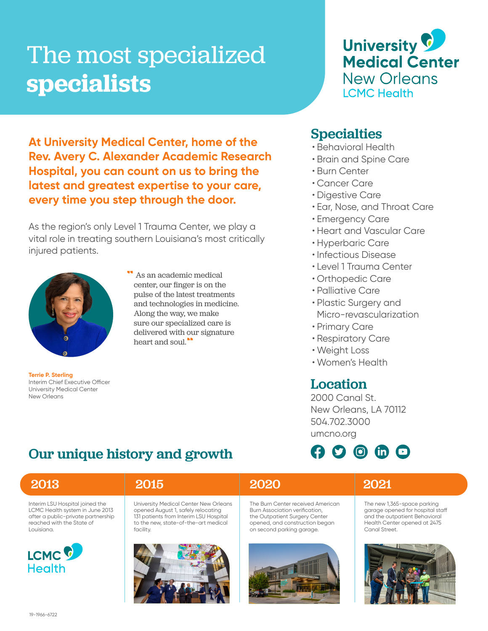# The most specialized **specialists**



**At University Medical Center, home of the Rev. Avery C. Alexander Academic Research Hospital, you can count on us to bring the latest and greatest expertise to your care, every time you step through the door.**

As the region's only Level 1 Trauma Center, we play a vital role in treating southern Louisiana's most critically injured patients.

Our unique history and growth



**Terrie P. Sterling** Interim Chief Executive Officer University Medical Center New Orleans

As an academic medical center, our finger is on the pulse of the latest treatments and technologies in medicine. Along the way, we make sure our specialized care is delivered with our signature heart and soul."

### **Specialties**

- Behavioral Health
- Brain and Spine Care
- Burn Center
- Cancer Care
- Digestive Care
- Ear, Nose, and Throat Care
- Emergency Care
- Heart and Vascular Care
- Hyperbaric Care
- Infectious Disease
- Level 1 Trauma Center
- Orthopedic Care
- Palliative Care
- Plastic Surgery and Micro-revascularization
- Primary Care
- Respiratory Care
- Weight Loss
- Women's Health

### Location

2000 Canal St. New Orleans, LA 70112 504.702.3000 umcno.org



### Interim LSU Hospital joined the LCMC Health system in June 2013 after a public-private partnership reached with the State of Louisiana. University Medical Center New Orleans opened August 1, safely relocating 131 patients from Interim LSU Hospital to the new, state-of-the-art medical facility. The Burn Center received American Burn Association verification, the Outpatient Surgery Center opened, and construction began on second parking garage. The new 1,365-space parking garage opened for hospital staff and the outpatient Behavioral Health Center opened at 2475 Canal Street. 2013 2015 2020 2021